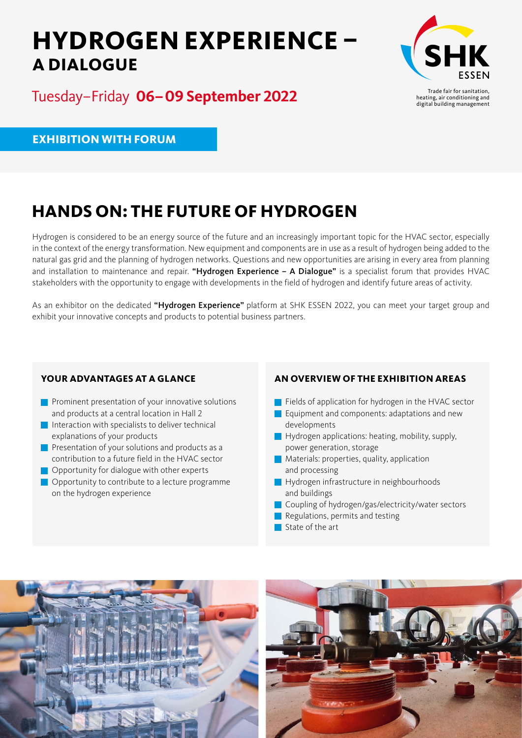# **HYDROGEN EXPERIENCE – A DIALOGUE**



Tuesday–Friday **06– 09 September 2022**

Trade fair for sanitation, heating, air conditioning and digital building management

**EXHIBITION WITH FORUM**

## **HANDS ON: THE FUTURE OF HYDROGEN**

Hydrogen is considered to be an energy source of the future and an increasingly important topic for the HVAC sector, especially in the context of the energy transformation. New equipment and components are in use as a result of hydrogen being added to the natural gas grid and the planning of hydrogen networks. Questions and new opportunities are arising in every area from planning and installation to maintenance and repair. "Hydrogen Experience - A Dialogue" is a specialist forum that provides HVAC stakeholders with the opportunity to engage with developments in the field of hydrogen and identify future areas of activity.

As an exhibitor on the dedicated "Hydrogen Experience" platform at SHK ESSEN 2022, you can meet your target group and exhibit your innovative concepts and products to potential business partners.

### **YOUR ADVANTAGES AT A GLANCE**

- **Prominent presentation of your innovative solutions** and products at a central location in Hall 2
- Interaction with specialists to deliver technical explanations of your products
- **Presentation of your solutions and products as a** contribution to a future field in the HVAC sector
- **Opportunity for dialogue with other experts**
- **Opportunity to contribute to a lecture programme** on the hydrogen experience

### **AN OVERVIEW OF THE EXHIBITION AREAS**

- Fields of application for hydrogen in the HVAC sector
- $\blacksquare$  Equipment and components: adaptations and new developments
- $\blacksquare$  Hydrogen applications: heating, mobility, supply, power generation, storage
- **Materials: properties, quality, application** and processing
- **Hydrogen infrastructure in neighbourhoods** and buildings
- Coupling of hydrogen/gas/electricity/water sectors
- Regulations, permits and testing
- State of the art